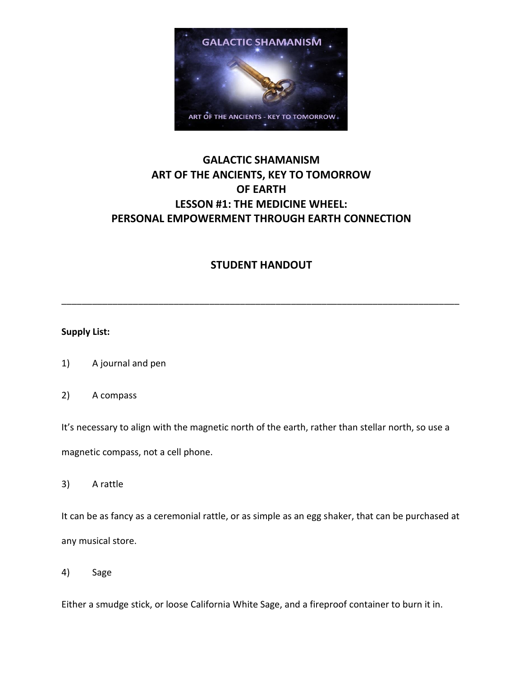

# **GALACTIC SHAMANISM ART OF THE ANCIENTS, KEY TO TOMORROW OF EARTH LESSON #1: THE MEDICINE WHEEL: PERSONAL EMPOWERMENT THROUGH EARTH CONNECTION**

## **STUDENT HANDOUT**

\_\_\_\_\_\_\_\_\_\_\_\_\_\_\_\_\_\_\_\_\_\_\_\_\_\_\_\_\_\_\_\_\_\_\_\_\_\_\_\_\_\_\_\_\_\_\_\_\_\_\_\_\_\_\_\_\_\_\_\_\_\_\_\_\_\_\_\_\_\_\_\_\_\_\_\_\_\_

## **Supply List:**

- 1) A journal and pen
- 2) A compass

It's necessary to align with the magnetic north of the earth, rather than stellar north, so use a magnetic compass, not a cell phone.

3) A rattle

It can be as fancy as a ceremonial rattle, or as simple as an egg shaker, that can be purchased at any musical store.

4) Sage

Either a smudge stick, or loose California White Sage, and a fireproof container to burn it in.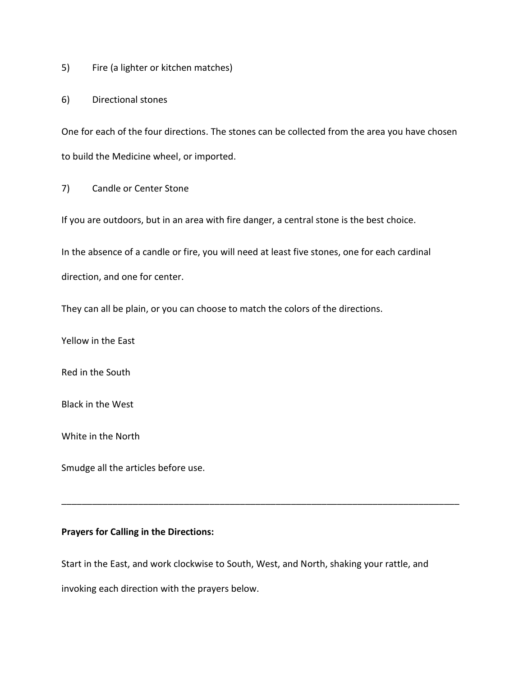5) Fire (a lighter or kitchen matches)

6) Directional stones

One for each of the four directions. The stones can be collected from the area you have chosen to build the Medicine wheel, or imported.

7) Candle or Center Stone

If you are outdoors, but in an area with fire danger, a central stone is the best choice.

In the absence of a candle or fire, you will need at least five stones, one for each cardinal

direction, and one for center.

They can all be plain, or you can choose to match the colors of the directions.

Yellow in the East

Red in the South

Black in the West

White in the North

Smudge all the articles before use.

## **Prayers for Calling in the Directions:**

Start in the East, and work clockwise to South, West, and North, shaking your rattle, and

\_\_\_\_\_\_\_\_\_\_\_\_\_\_\_\_\_\_\_\_\_\_\_\_\_\_\_\_\_\_\_\_\_\_\_\_\_\_\_\_\_\_\_\_\_\_\_\_\_\_\_\_\_\_\_\_\_\_\_\_\_\_\_\_\_\_\_\_\_\_\_\_\_\_\_\_\_\_

invoking each direction with the prayers below.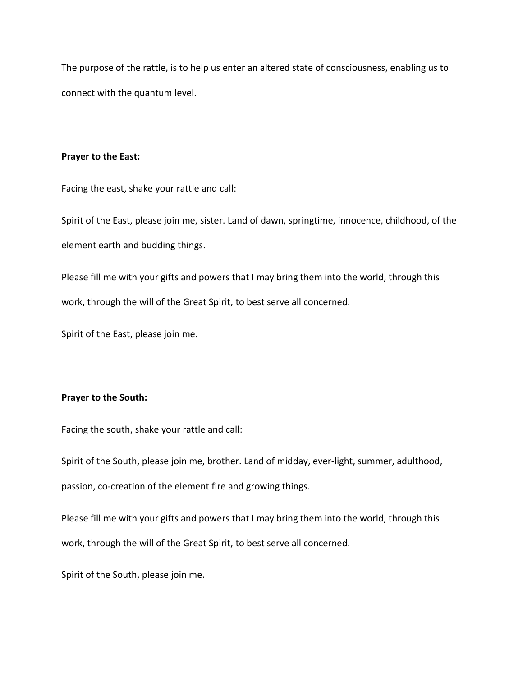The purpose of the rattle, is to help us enter an altered state of consciousness, enabling us to connect with the quantum level.

### **Prayer to the East:**

Facing the east, shake your rattle and call:

Spirit of the East, please join me, sister. Land of dawn, springtime, innocence, childhood, of the element earth and budding things.

Please fill me with your gifts and powers that I may bring them into the world, through this work, through the will of the Great Spirit, to best serve all concerned.

Spirit of the East, please join me.

### **Prayer to the South:**

Facing the south, shake your rattle and call:

Spirit of the South, please join me, brother. Land of midday, ever-light, summer, adulthood, passion, co-creation of the element fire and growing things.

Please fill me with your gifts and powers that I may bring them into the world, through this work, through the will of the Great Spirit, to best serve all concerned.

Spirit of the South, please join me.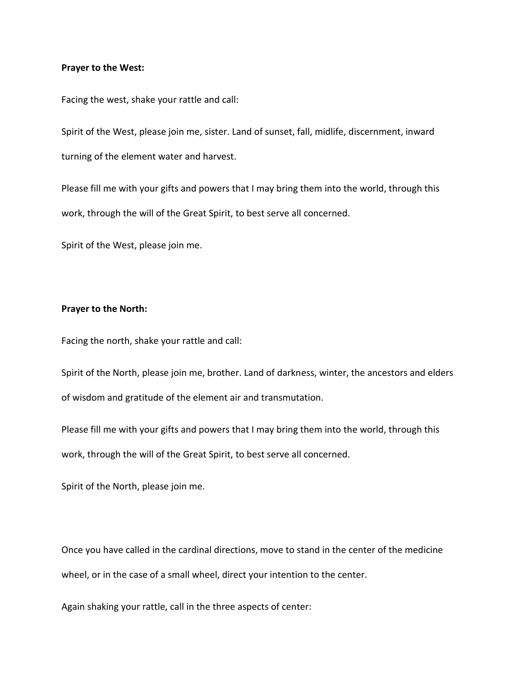#### **Prayer to the West:**

Facing the west, shake your rattle and call:

Spirit of the West, please join me, sister. Land of sunset, fall, midlife, discernment, inward turning of the element water and harvest.

Please fill me with your gifts and powers that I may bring them into the world, through this work, through the will of the Great Spirit, to best serve all concerned.

Spirit of the West, please join me.

## **Prayer to the North:**

Facing the north, shake your rattle and call:

Spirit of the North, please join me, brother. Land of darkness, winter, the ancestors and elders of wisdom and gratitude of the element air and transmutation.

Please fill me with your gifts and powers that I may bring them into the world, through this work, through the will of the Great Spirit, to best serve all concerned.

Spirit of the North, please join me.

Once you have called in the cardinal directions, move to stand in the center of the medicine wheel, or in the case of a small wheel, direct your intention to the center.

Again shaking your rattle, call in the three aspects of center: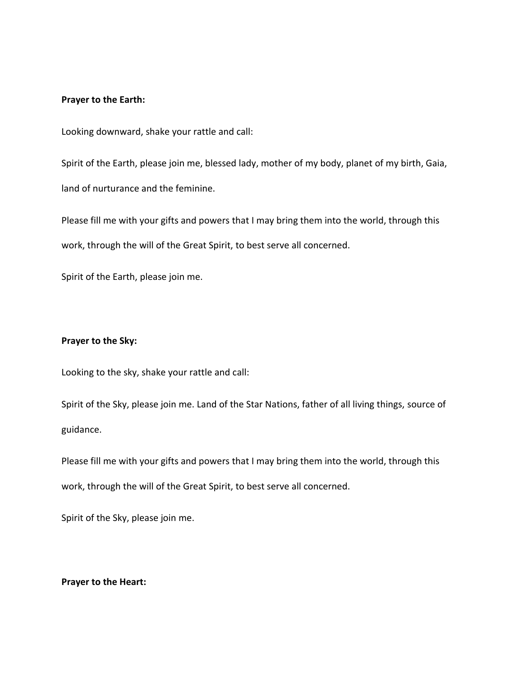#### **Prayer to the Earth:**

Looking downward, shake your rattle and call:

Spirit of the Earth, please join me, blessed lady, mother of my body, planet of my birth, Gaia, land of nurturance and the feminine.

Please fill me with your gifts and powers that I may bring them into the world, through this work, through the will of the Great Spirit, to best serve all concerned.

Spirit of the Earth, please join me.

#### **Prayer to the Sky:**

Looking to the sky, shake your rattle and call:

Spirit of the Sky, please join me. Land of the Star Nations, father of all living things, source of guidance.

Please fill me with your gifts and powers that I may bring them into the world, through this work, through the will of the Great Spirit, to best serve all concerned.

Spirit of the Sky, please join me.

## **Prayer to the Heart:**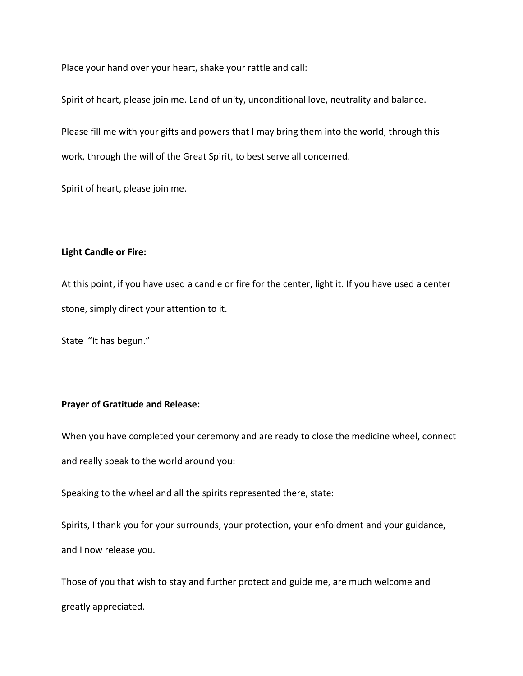Place your hand over your heart, shake your rattle and call:

Spirit of heart, please join me. Land of unity, unconditional love, neutrality and balance.

Please fill me with your gifts and powers that I may bring them into the world, through this work, through the will of the Great Spirit, to best serve all concerned.

Spirit of heart, please join me.

#### **Light Candle or Fire:**

At this point, if you have used a candle or fire for the center, light it. If you have used a center stone, simply direct your attention to it.

State "It has begun."

## **Prayer of Gratitude and Release:**

When you have completed your ceremony and are ready to close the medicine wheel, connect and really speak to the world around you:

Speaking to the wheel and all the spirits represented there, state:

Spirits, I thank you for your surrounds, your protection, your enfoldment and your guidance, and I now release you.

Those of you that wish to stay and further protect and guide me, are much welcome and greatly appreciated.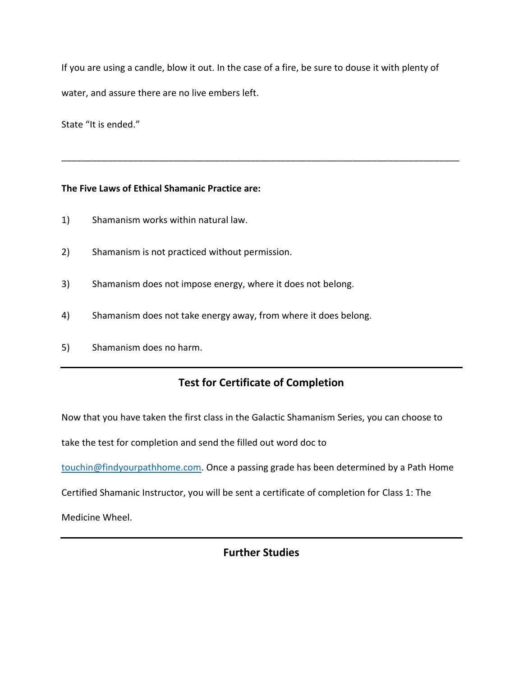If you are using a candle, blow it out. In the case of a fire, be sure to douse it with plenty of water, and assure there are no live embers left.

\_\_\_\_\_\_\_\_\_\_\_\_\_\_\_\_\_\_\_\_\_\_\_\_\_\_\_\_\_\_\_\_\_\_\_\_\_\_\_\_\_\_\_\_\_\_\_\_\_\_\_\_\_\_\_\_\_\_\_\_\_\_\_\_\_\_\_\_\_\_\_\_\_\_\_\_\_\_

State "It is ended."

## **The Five Laws of Ethical Shamanic Practice are:**

- 1) Shamanism works within natural law.
- 2) Shamanism is not practiced without permission.
- 3) Shamanism does not impose energy, where it does not belong.
- 4) Shamanism does not take energy away, from where it does belong.
- 5) Shamanism does no harm.

# **Test for Certificate of Completion**

Now that you have taken the first class in the Galactic Shamanism Series, you can choose to

take the test for completion and send the filled out word doc to

[touchin@findyourpathhome.com.](mailto:touchin@findyourpathhome.com) Once a passing grade has been determined by a Path Home

Certified Shamanic Instructor, you will be sent a certificate of completion for Class 1: The

Medicine Wheel.

# **Further Studies**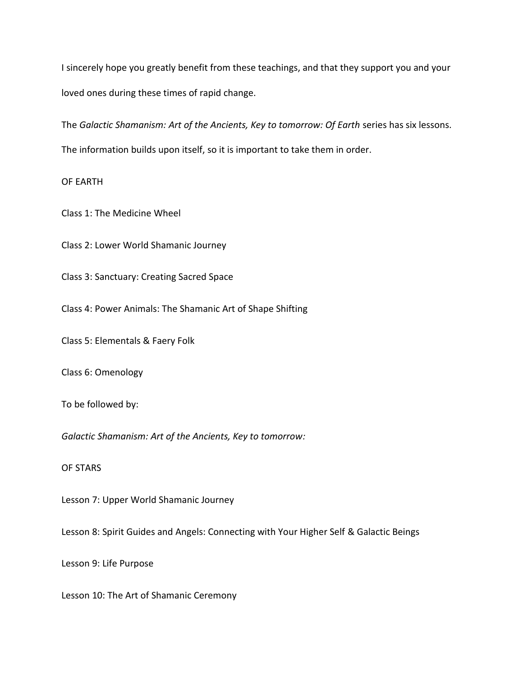I sincerely hope you greatly benefit from these teachings, and that they support you and your loved ones during these times of rapid change.

The *Galactic Shamanism: Art of the Ancients, Key to tomorrow: Of Earth* series has six lessons.

The information builds upon itself, so it is important to take them in order.

OF EARTH

Class 1: The Medicine Wheel

Class 2: Lower World Shamanic Journey

Class 3: Sanctuary: Creating Sacred Space

Class 4: Power Animals: The Shamanic Art of Shape Shifting

Class 5: Elementals & Faery Folk

Class 6: Omenology

To be followed by:

*Galactic Shamanism: Art of the Ancients, Key to tomorrow:*

OF STARS

Lesson 7: Upper World Shamanic Journey

Lesson 8: Spirit Guides and Angels: Connecting with Your Higher Self & Galactic Beings

Lesson 9: Life Purpose

Lesson 10: The Art of Shamanic Ceremony